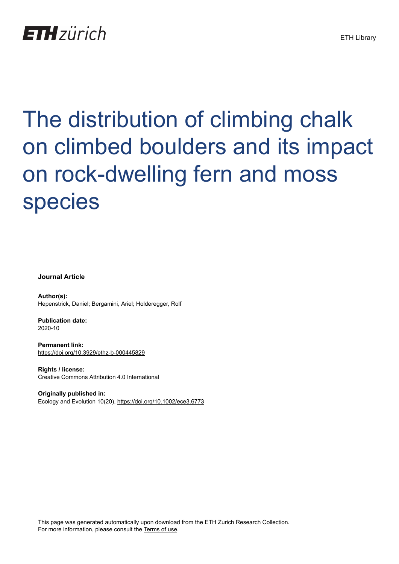

# The distribution of climbing chalk on climbed boulders and its impact on rock-dwelling fern and moss species

**Journal Article**

**Author(s):** Hepenstrick, Daniel; Bergamini, Ariel; Holderegger, Rolf

**Publication date:** 2020-10

**Permanent link:** <https://doi.org/10.3929/ethz-b-000445829>

**Rights / license:** [Creative Commons Attribution 4.0 International](http://creativecommons.org/licenses/by/4.0/)

**Originally published in:** Ecology and Evolution 10(20),<https://doi.org/10.1002/ece3.6773>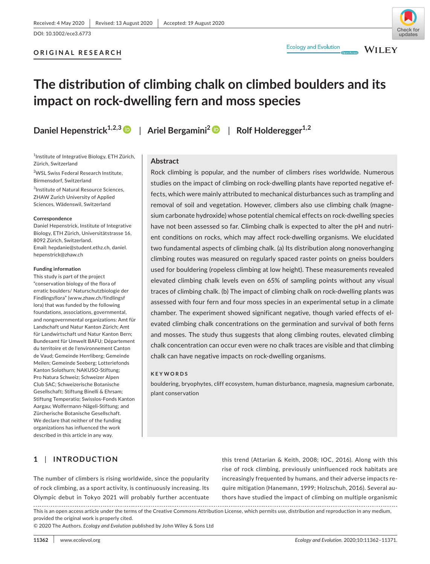# **ORIGINAL RESEARCH**



**WILEY** 

# **The distribution of climbing chalk on climbed boulders and its impact on rock-dwelling fern and moss species**

<sup>1</sup>Institute of Integrative Biology, ETH Zürich, Zürich, Switzerland

2 WSL Swiss Federal Research Institute, Birmensdorf, Switzerland

3 Institute of Natural Resource Sciences, ZHAW Zurich University of Applied Sciences, Wädenswil, Switzerland

#### **Correspondence**

Daniel Hepenstrick, Institute of Integrative Biology, ETH Zürich, Universitätstrasse 16, 8092 Zürich, Switzerland. Email: [hepdanie@student.ethz.ch,](mailto:hepdanie@student.ethz.ch) [daniel.](mailto:daniel.hepenstrick@zhaw.ch) [hepenstrick@zhaw.ch](mailto:daniel.hepenstrick@zhaw.ch)

#### **Funding information**

This study is part of the project "conservation biology of the flora of erratic boulders/ Naturschutzbiologie der Findlingsflora" [\(www.zhaw.ch/findlingsf](http://www.zhaw.ch/findlingsflora) [lora\)](http://www.zhaw.ch/findlingsflora) that was funded by the following foundations, associations, governmental, and nongovernmental organizations: Amt für Landschaft und Natur Kanton Zürich; Amt für Landwirtschaft und Natur Kanton Bern; Bundesamt für Umwelt BAFU; Département du territoire et de l'environnement Canton de Vaud; Gemeinde Herrliberg; Gemeinde Meilen; Gemeinde Seeberg; Lotteriefonds Kanton Solothurn; NAKUSO-Stiftung; Pro Natura Schweiz; Schweizer Alpen Club SAC; Schweizerische Botanische Gesellschaft; Stiftung Binelli & Ehrsam; Stiftung Temperatio; Swisslos-Fonds Kanton Aargau; Wolfermann-Nägeli-Stiftung; and Zürcherische Botanische Gesellschaft. We declare that neither of the funding organizations has influenced the work described in this article in any way.

**Daniel Hepenstrick1,2,[3](https://orcid.org/0000-0003-1090-6888)** | **Ariel Bergamini[2](https://orcid.org/0000-0001-8816-1420)** | **Rolf Holderegger1,2**

**Abstract** Rock climbing is popular, and the number of climbers rises worldwide. Numerous studies on the impact of climbing on rock-dwelling plants have reported negative effects, which were mainly attributed to mechanical disturbances such as trampling and removal of soil and vegetation. However, climbers also use climbing chalk (magnesium carbonate hydroxide) whose potential chemical effects on rock-dwelling species have not been assessed so far. Climbing chalk is expected to alter the pH and nutrient conditions on rocks, which may affect rock-dwelling organisms. We elucidated two fundamental aspects of climbing chalk. (a) Its distribution along nonoverhanging climbing routes was measured on regularly spaced raster points on gneiss boulders used for bouldering (ropeless climbing at low height). These measurements revealed elevated climbing chalk levels even on 65% of sampling points without any visual traces of climbing chalk. (b) The impact of climbing chalk on rock-dwelling plants was assessed with four fern and four moss species in an experimental setup in a climate

chamber. The experiment showed significant negative, though varied effects of elevated climbing chalk concentrations on the germination and survival of both ferns and mosses. The study thus suggests that along climbing routes, elevated climbing chalk concentration can occur even were no chalk traces are visible and that climbing chalk can have negative impacts on rock-dwelling organisms.

#### **KEYWORDS**

bouldering, bryophytes, cliff ecosystem, human disturbance, magnesia, magnesium carbonate, plant conservation

# **1** | **INTRODUCTION**

The number of climbers is rising worldwide, since the popularity of rock climbing, as a sport activity, is continuously increasing. Its Olympic debut in Tokyo 2021 will probably further accentuate this trend (Attarian & Keith, 2008; IOC, 2016). Along with this rise of rock climbing, previously uninfluenced rock habitats are increasingly frequented by humans, and their adverse impacts require mitigation (Hanemann, 1999; Holzschuh, 2016). Several authors have studied the impact of climbing on multiple organismic

This is an open access article under the terms of the [Creative Commons Attribution](http://creativecommons.org/licenses/by/4.0/) License, which permits use, distribution and reproduction in any medium, provided the original work is properly cited.

© 2020 The Authors. *Ecology and Evolution* published by John Wiley & Sons Ltd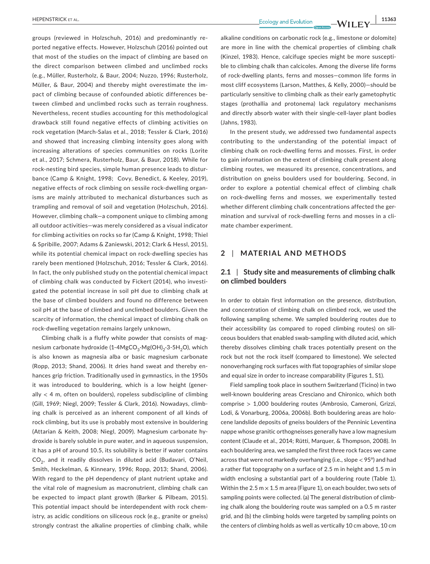**Interest According to the College Secolulus Control of the College Secolulus College According to the College According to the Latitude Secolulus College According to the Latitude Secolulus College According to the Latit** 

groups (reviewed in Holzschuh, 2016) and predominantly reported negative effects. However, Holzschuh (2016) pointed out that most of the studies on the impact of climbing are based on the direct comparison between climbed and unclimbed rocks (e.g., Müller, Rusterholz, & Baur, 2004; Nuzzo, 1996; Rusterholz, Müller, & Baur, 2004) and thereby might overestimate the impact of climbing because of confounded abiotic differences between climbed and unclimbed rocks such as terrain roughness. Nevertheless, recent studies accounting for this methodological drawback still found negative effects of climbing activities on rock vegetation (March-Salas et al., 2018; Tessler & Clark, 2016) and showed that increasing climbing intensity goes along with increasing alterations of species communities on rocks (Lorite et al., 2017; Schmera, Rusterholz, Baur, & Baur, 2018). While for rock-nesting bird species, simple human presence leads to disturbance (Camp & Knight, 1998; Covy, Benedict, & Keeley, 2019), negative effects of rock climbing on sessile rock-dwelling organisms are mainly attributed to mechanical disturbances such as trampling and removal of soil and vegetation (Holzschuh, 2016). However, climbing chalk—a component unique to climbing among all outdoor activities—was merely considered as a visual indicator for climbing activities on rocks so far (Camp & Knight, 1998; Thiel & Spribille, 2007; Adams & Zaniewski, 2012; Clark & Hessl, 2015), while its potential chemical impact on rock-dwelling species has rarely been mentioned (Holzschuh, 2016; Tessler & Clark, 2016). In fact, the only published study on the potential chemical impact of climbing chalk was conducted by Fickert (2014), who investigated the potential increase in soil pH due to climbing chalk at the base of climbed boulders and found no difference between soil pH at the base of climbed and unclimbed boulders. Given the scarcity of information, the chemical impact of climbing chalk on rock-dwelling vegetation remains largely unknown,

Climbing chalk is a fluffy white powder that consists of magnesium carbonate hydroxide (1-4MgCO<sub>3</sub>·Mg(OH)<sub>2</sub>·3-5H<sub>2</sub>O), which is also known as magnesia alba or basic magnesium carbonate (Ropp, 2013; Shand, 2006). It dries hand sweat and thereby enhances grip friction. Traditionally used in gymnastics, in the 1950s it was introduced to bouldering, which is a low height (generally  $<$  4 m, often on boulders), ropeless subdiscipline of climbing (Gill, 1969; Niegl, 2009; Tessler & Clark, 2016). Nowadays, climbing chalk is perceived as an inherent component of all kinds of rock climbing, but its use is probably most extensive in bouldering (Attarian & Keith, 2008; Niegl, 2009). Magnesium carbonate hydroxide is barely soluble in pure water, and in aqueous suspension, it has a pH of around 10.5, its solubility is better if water contains CO<sub>2</sub>, and it readily dissolves in diluted acid (Budavari, O'Neil, Smith, Heckelman, & Kinneary, 1996; Ropp, 2013; Shand, 2006). With regard to the pH dependency of plant nutrient uptake and the vital role of magnesium as macronutrient, climbing chalk can be expected to impact plant growth (Barker & Pilbeam, 2015). This potential impact should be interdependent with rock chemistry, as acidic conditions on siliceous rock (e.g., granite or gneiss) strongly contrast the alkaline properties of climbing chalk, while

alkaline conditions on carbonatic rock (e.g., limestone or dolomite) are more in line with the chemical properties of climbing chalk (Kinzel, 1983). Hence, calcifuge species might be more susceptible to climbing chalk than calcicoles. Among the diverse life forms of rock-dwelling plants, ferns and mosses—common life forms in most cliff ecosystems (Larson, Matthes, & Kelly, 2000)—should be particularly sensitive to climbing chalk as their early gametophytic stages (prothallia and protonema) lack regulatory mechanisms and directly absorb water with their single-cell-layer plant bodies (Jahns, 1983).

In the present study, we addressed two fundamental aspects contributing to the understanding of the potential impact of climbing chalk on rock-dwelling ferns and mosses. First, in order to gain information on the extent of climbing chalk present along climbing routes, we measured its presence, concentrations, and distribution on gneiss boulders used for bouldering. Second, in order to explore a potential chemical effect of climbing chalk on rock-dwelling ferns and mosses, we experimentally tested whether different climbing chalk concentrations affected the germination and survival of rock-dwelling ferns and mosses in a climate chamber experiment.

# **2** | **MATERIAL AND METHODS**

# **2.1** | **Study site and measurements of climbing chalk on climbed boulders**

In order to obtain first information on the presence, distribution, and concentration of climbing chalk on climbed rock, we used the following sampling scheme. We sampled bouldering routes due to their accessibility (as compared to roped climbing routes) on siliceous boulders that enabled swab-sampling with diluted acid, which thereby dissolves climbing chalk traces potentially present on the rock but not the rock itself (compared to limestone). We selected nonoverhanging rock surfaces with flat topographies of similar slope and equal size in order to increase comparability (Figures 1, S1).

Field sampling took place in southern Switzerland (Ticino) in two well-known bouldering areas Cresciano and Chironico, which both comprise > 1,000 bouldering routes (Ambrosio, Cameroni, Grizzi, Lodi, & Vonarburg, 2006a, 2006b). Both bouldering areas are holocene landslide deposits of gneiss boulders of the Penninic Leventina nappe whose granitic orthogneisses generally have a low magnesium content (Claude et al., 2014; Rütti, Marquer, & Thompson, 2008). In each bouldering area, we sampled the first three rock faces we came across that were not markedly overhanging (i.e., slope  $<$  95°) and had a rather flat topography on a surface of 2.5 m in height and 1.5 m in width enclosing a substantial part of a bouldering route (Table 1). Within the 2.5 m  $\times$  1.5 m area (Figure 1), on each boulder, two sets of sampling points were collected. (a) The general distribution of climbing chalk along the bouldering route was sampled on a 0.5 m raster grid, and (b) the climbing holds were targeted by sampling points on the centers of climbing holds as well as vertically 10 cm above, 10 cm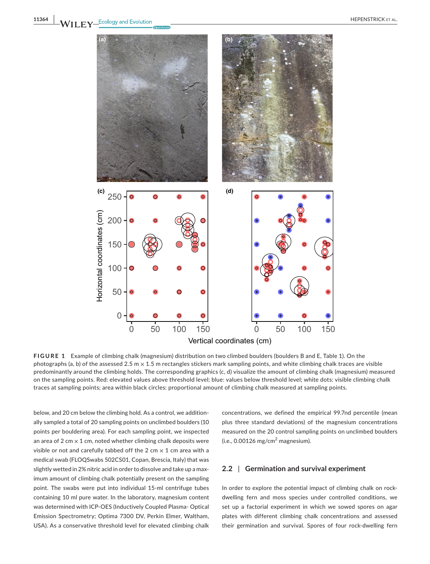

**FIGURE 1** Example of climbing chalk (magnesium) distribution on two climbed boulders (boulders B and E, Table 1). On the photographs (a, b) of the assessed 2.5 m  $\times$  1.5 m rectangles stickers mark sampling points, and white climbing chalk traces are visible predominantly around the climbing holds. The corresponding graphics (c, d) visualize the amount of climbing chalk (magnesium) measured on the sampling points. Red: elevated values above threshold level; blue: values below threshold level; white dots: visible climbing chalk traces at sampling points; area within black circles: proportional amount of climbing chalk measured at sampling points.

below, and 20 cm below the climbing hold. As a control, we additionally sampled a total of 20 sampling points on unclimbed boulders (10 points per bouldering area). For each sampling point, we inspected an area of 2 cm  $\times$  1 cm, noted whether climbing chalk deposits were visible or not and carefully tabbed off the 2 cm  $\times$  1 cm area with a medical swab (FLOQSwabs 502CS01, Copan, Brescia, Italy) that was slightly wetted in 2% nitric acid in order to dissolve and take up a maximum amount of climbing chalk potentially present on the sampling point. The swabs were put into individual 15-ml centrifuge tubes containing 10 ml pure water. In the laboratory, magnesium content was determined with ICP-OES (Inductively Coupled Plasma- Optical Emission Spectrometry; Optima 7300 DV, Perkin Elmer, Waltham, USA). As a conservative threshold level for elevated climbing chalk

concentrations, we defined the empirical 99.7nd percentile (mean plus three standard deviations) of the magnesium concentrations measured on the 20 control sampling points on unclimbed boulders (i.e., 0.00126 mg/cm $^2$  magnesium).

#### **2.2** | **Germination and survival experiment**

In order to explore the potential impact of climbing chalk on rockdwelling fern and moss species under controlled conditions, we set up a factorial experiment in which we sowed spores on agar plates with different climbing chalk concentrations and assessed their germination and survival. Spores of four rock-dwelling fern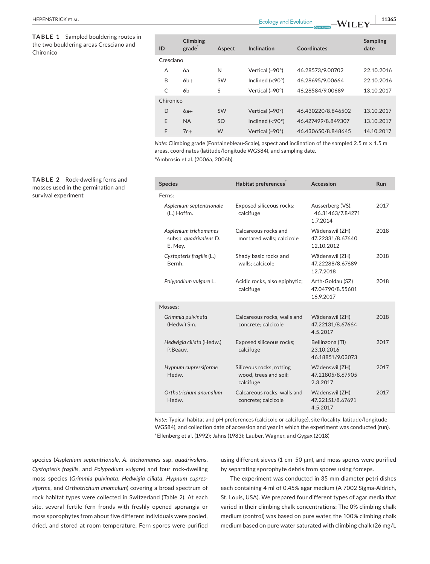**TABLE 1** Sampled bouldering routes in the two bouldering areas Cresciano and Chironico

| ID        | Climbing<br>grade | Aspect    | Inclination             | Coordinates        | <b>Sampling</b><br>date |
|-----------|-------------------|-----------|-------------------------|--------------------|-------------------------|
| Cresciano |                   |           |                         |                    |                         |
| A         | 6а                | N         | Vertical $(-90^\circ)$  | 46.28573/9.00702   | 22.10.2016              |
| B         | $6b+$             | <b>SW</b> | Inclined $(< 90^\circ)$ | 46.28695/9.00664   | 22.10.2016              |
| C         | 6b                | S         | Vertical $(-90^\circ)$  | 46.28584/9.00689   | 13.10.2017              |
| Chironico |                   |           |                         |                    |                         |
| D         | $6a+$             | <b>SW</b> | Vertical $(-90^\circ)$  | 46.430220/8.846502 | 13.10.2017              |
| E         | <b>NA</b>         | <b>SO</b> | Inclined $(< 90^\circ)$ | 46.427499/8.849307 | 13.10.2017              |
| F         | $7c+$             | W         | Vertical $(-90^\circ)$  | 46.430650/8.848645 | 14.10.2017              |

*Note: Climbing grade (Fontainebleau-Scale), aspect and inclination of the sampled 2.5 m × 1.5 m* areas, coordinates (latitude/longitude WGS84), and sampling date. \*Ambrosio et al. (2006a, 2006b).

| <b>Species</b>                                             | Habitat preferences                                            | Accession                                         | Run  |
|------------------------------------------------------------|----------------------------------------------------------------|---------------------------------------------------|------|
| Ferns:                                                     |                                                                |                                                   |      |
| Asplenium septentrionale<br>(L.) Hoffm.                    | Exposed siliceous rocks;<br>calcifuge                          | Ausserberg (VS),<br>46.31463/7.84271<br>1.7.2014  | 2017 |
| Asplenium trichomanes<br>subsp. quadrivalens D.<br>E. Mey. | Calcareous rocks and<br>mortared walls; calcicole              | Wädenswil (ZH)<br>47.22331/8.67640<br>12.10.2012  | 2018 |
| Cystopteris fragilis (L.)<br>Bernh.                        | Shady basic rocks and<br>walls; calcicole                      | Wädenswil (ZH)<br>47.22288/8.67689<br>12.7.2018   | 2018 |
| Polypodium vulgare L.                                      | Acidic rocks, also epiphytic;<br>calcifuge                     | Arth-Goldau (SZ)<br>47.04790/8.55601<br>16.9.2017 | 2018 |
| Mosses:                                                    |                                                                |                                                   |      |
| Grimmia pulvinata<br>(Hedw.) Sm.                           | Calcareous rocks, walls and<br>concrete; calcicole             | Wädenswil (ZH)<br>47.22131/8.67664<br>4.5.2017    | 2018 |
| Hedwigia ciliata (Hedw.)<br>P.Beauv.                       | Exposed siliceous rocks;<br>calcifuge                          | Bellinzona (TI)<br>23.10.2016<br>46.18851/9.03073 | 2017 |
| Hypnum cupressiforme<br>Hedw.                              | Siliceous rocks, rotting<br>wood, trees and soil;<br>calcifuge | Wädenswil (ZH)<br>47.21805/8.67905<br>2.3.2017    | 2017 |
| Orthotrichum anomalum<br>Hedw.                             | Calcareous rocks, walls and<br>concrete; calcicole             | Wädenswil (ZH)<br>47.22151/8.67691<br>4.5.2017    | 2017 |

*Note:* Typical habitat and pH preferences (calcicole or calcifuge), site (locality, latitude/longitude WGS84), and collection date of accession and year in which the experiment was conducted (run). \*Ellenberg et al. (1992); Jahns (1983); Lauber, Wagner, and Gygax (2018)

species (*Asplenium septentrionale, A. trichomanes* ssp. *quadrivalens*, *Cystopteris fragilis,* and *Polypodium vulgare*) and four rock-dwelling moss species (*Grimmia pulvinata*, *Hedwigia ciliata*, *Hypnum cupressiforme,* and *Orthotrichum anomalum*) covering a broad spectrum of rock habitat types were collected in Switzerland (Table 2). At each site, several fertile fern fronds with freshly opened sporangia or moss sporophytes from about five different individuals were pooled, dried, and stored at room temperature. Fern spores were purified

using different sieves (1 cm-50 µm), and moss spores were purified by separating sporophyte debris from spores using forceps.

The experiment was conducted in 35 mm diameter petri dishes each containing 4 ml of 0.45% agar medium (A 7002 Sigma-Aldrich, St. Louis, USA). We prepared four different types of agar media that varied in their climbing chalk concentrations: The 0% climbing chalk medium (control) was based on pure water, the 100% climbing chalk medium based on pure water saturated with climbing chalk (26 mg/L

**TABLE 2** Rock-dwelling ferns and mosses used in the germination and survival experiment

# **|** HEPENSTRICK et al. **11365**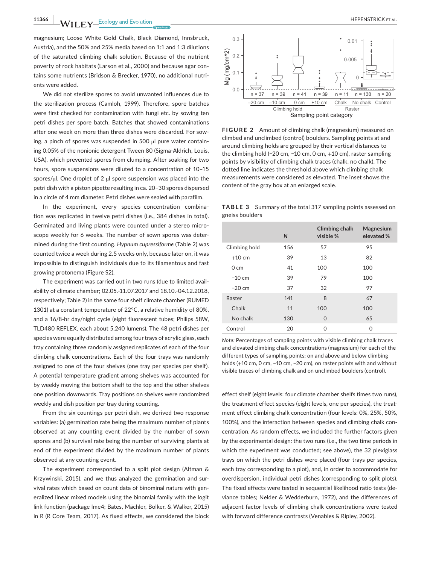**11366 WII FY** Ecology and Evolution **CONSUMPTION** CONSUMING THE PENSTRICK ET AL.

magnesium; Loose White Gold Chalk, Black Diamond, Innsbruck, Austria), and the 50% and 25% media based on 1:1 and 1:3 dilutions of the saturated climbing chalk solution. Because of the nutrient poverty of rock habitats (Larson et al., 2000) and because agar contains some nutrients (Bridson & Brecker, 1970), no additional nutrients were added.

We did not sterilize spores to avoid unwanted influences due to the sterilization process (Camloh, 1999). Therefore, spore batches were first checked for contamination with fungi etc. by sowing ten petri dishes per spore batch. Batches that showed contaminations after one week on more than three dishes were discarded. For sowing, a pinch of spores was suspended in 500 µl pure water containing 0.05% of the nonionic detergent Tween 80 (Sigma-Aldrich, Louis, USA), which prevented spores from clumping. After soaking for two hours, spore suspensions were diluted to a concentration of 10–15 spores/µl. One droplet of 2 µl spore suspension was placed into the petri dish with a piston pipette resulting in ca. 20–30 spores dispersed in a circle of 4 mm diameter. Petri dishes were sealed with parafilm.

In the experiment, every species–concentration combination was replicated in twelve petri dishes (i.e., 384 dishes in total). Germinated and living plants were counted under a stereo microscope weekly for 6 weeks. The number of sown spores was determined during the first counting. *Hypnum cupressiforme* (Table 2) was counted twice a week during 2.5 weeks only, because later on, it was impossible to distinguish individuals due to its filamentous and fast growing protonema (Figure S2).

The experiment was carried out in two runs (due to limited availability of climate chamber; 02.05.-11.07.2017 and 18.10.-04.12.2018, respectively; Table 2) in the same four shelf climate chamber (RUMED 1301) at a constant temperature of 22°C, a relative humidity of 80%, and a 16/8-hr day/night cycle (eight fluorescent tubes; Philips 58W, TLD480 REFLEX, each about 5,240 lumens). The 48 petri dishes per species were equally distributed among four trays of acrylic glass, each tray containing three randomly assigned replicates of each of the four climbing chalk concentrations. Each of the four trays was randomly assigned to one of the four shelves (one tray per species per shelf). A potential temperature gradient among shelves was accounted for by weekly moving the bottom shelf to the top and the other shelves one position downwards. Tray positions on shelves were randomized weekly and dish position per tray during counting.

From the six countings per petri dish, we derived two response variables: (a) germination rate being the maximum number of plants observed at any counting event divided by the number of sown spores and (b) survival rate being the number of surviving plants at end of the experiment divided by the maximum number of plants observed at any counting event.

The experiment corresponded to a split plot design (Altman & Krzywinski, 2015), and we thus analyzed the germination and survival rates which based on count data of binominal nature with generalized linear mixed models using the binomial family with the logit link function (package lme4; Bates, Mächler, Bolker, & Walker, 2015) in R (R Core Team, 2017). As fixed effects, we considered the block



**FIGURE 2** Amount of climbing chalk (magnesium) measured on climbed and unclimbed (control) boulders. Sampling points at and around climbing holds are grouped by their vertical distances to the climbing hold (−20 cm, −10 cm, 0 cm, +10 cm), raster sampling points by visibility of climbing chalk traces (chalk, no chalk). The dotted line indicates the threshold above which climbing chalk measurements were considered as elevated. The inset shows the content of the gray box at an enlarged scale.

**TABLE 3** Summary of the total 317 sampling points assessed on gneiss boulders

|                  | $\mathsf{N}$ | <b>Climbing chalk</b><br>visible % | Magnesium<br>elevated % |
|------------------|--------------|------------------------------------|-------------------------|
| Climbing hold    | 156          | 57                                 | 95                      |
| $+10$ cm         | 39           | 13                                 | 82                      |
| $0 \, \text{cm}$ | 41           | 100                                | 100                     |
| $-10$ cm         | 39           | 79                                 | 100                     |
| $-20$ cm         | 37           | 32                                 | 97                      |
| Raster           | 141          | 8                                  | 67                      |
| Chalk            | 11           | 100                                | 100                     |
| No chalk         | 130          | $\Omega$                           | 65                      |
| Control          | 20           | O                                  | O                       |

*Note:* Percentages of sampling points with visible climbing chalk traces and elevated climbing chalk concentrations (magnesium) for each of the different types of sampling points: on and above and below climbing holds (+10 cm, 0 cm, −10 cm, −20 cm), on raster points with and without visible traces of climbing chalk and on unclimbed boulders (control).

effect shelf (eight levels: four climate chamber shelfs times two runs), the treatment effect species (eight levels, one per species), the treatment effect climbing chalk concentration (four levels: 0%, 25%, 50%, 100%), and the interaction between species and climbing chalk concentration. As random effects, we included the further factors given by the experimental design: the two runs (i.e., the two time periods in which the experiment was conducted; see above), the 32 plexiglass trays on which the petri dishes were placed (four trays per species, each tray corresponding to a plot), and, in order to accommodate for overdispersion, individual petri dishes (corresponding to split plots). The fixed effects were tested in sequential likelihood ratio tests (deviance tables; Nelder & Wedderburn, 1972), and the differences of adjacent factor levels of climbing chalk concentrations were tested with forward difference contrasts (Venables & Ripley, 2002).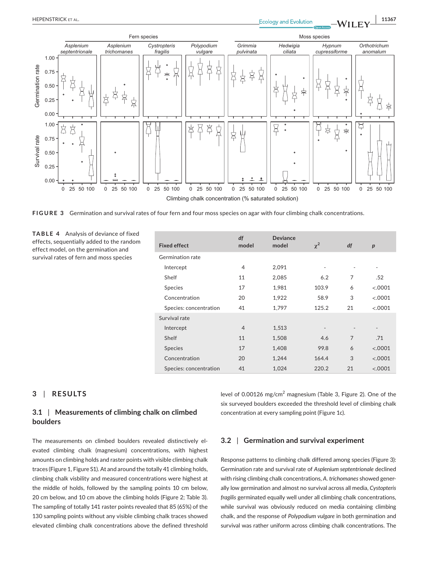



**FIGURE 3** Germination and survival rates of four fern and four moss species on agar with four climbing chalk concentrations.

**TABLE 4** Analysis of deviance of fixed effects, sequentially added to the random effect model, on the germination and survival rates of fern and moss species

| <b>Fixed effect</b>    | df<br>model    | <b>Deviance</b><br>model | $\chi^2$       | df             | $\boldsymbol{p}$ |
|------------------------|----------------|--------------------------|----------------|----------------|------------------|
| Germination rate       |                |                          |                |                |                  |
| Intercept              | 4              | 2,091                    | $\overline{a}$ |                | ٠                |
| Shelf                  | 11             | 2,085                    | 6.2            | 7              | .52              |
| <b>Species</b>         | 17             | 1,981                    | 103.9          | 6              | < .0001          |
| Concentration          | 20             | 1,922                    | 58.9           | 3              | < .0001          |
| Species: concentration | 41             | 1,797                    | 125.2          | 21             | < .0001          |
| Survival rate          |                |                          |                |                |                  |
| Intercept              | $\overline{4}$ | 1,513                    |                |                |                  |
| Shelf                  | 11             | 1,508                    | 4.6            | $\overline{7}$ | .71              |
| <b>Species</b>         | 17             | 1,408                    | 99.8           | 6              | < .0001          |
| Concentration          | 20             | 1,244                    | 164.4          | 3              | < .0001          |
| Species: concentration | 41             | 1,024                    | 220.2          | 21             | < .0001          |

# **3** | **RESULTS**

# **3.1** | **Measurements of climbing chalk on climbed boulders**

The measurements on climbed boulders revealed distinctively elevated climbing chalk (magnesium) concentrations, with highest amounts on climbing holds and raster points with visible climbing chalk traces (Figure 1, Figure S1). At and around the totally 41 climbing holds, climbing chalk visbility and measured concentrations were highest at the middle of holds, followed by the sampling points 10 cm below, 20 cm below, and 10 cm above the climbing holds (Figure 2; Table 3). The sampling of totally 141 raster points revealed that 85 (65%) of the 130 sampling points without any visible climbing chalk traces showed elevated climbing chalk concentrations above the defined threshold

level of 0.00126 mg/cm<sup>2</sup> magnesium (Table 3, Figure 2). One of the six surveyed boulders exceeded the threshold level of climbing chalk concentration at every sampling point (Figure 1c).

# **3.2** | **Germination and survival experiment**

Response patterns to climbing chalk differed among species (Figure 3): Germination rate and survival rate of *Asplenium septentrionale* declined with rising climbing chalk concentrations, *A. trichomanes* showed generally low germination and almost no survival across all media, *Cystopteris fragilis* germinated equally well under all climbing chalk concentrations, while survival was obviously reduced on media containing climbing chalk, and the response of *Polypodium vulgare* in both germination and survival was rather uniform across climbing chalk concentrations. The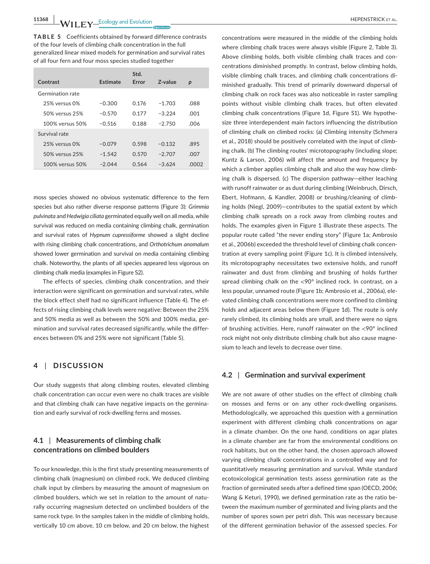**11368 A/II EV** Ecology and Evolution **2020 <b>CO EXECUTE:** EVERY EXACUTE: **AL. EXECUTE:** EXACUTE: **AL. EXECUTE:** EXACUTE: **EXECUTE:** EXACUTE: **EXECUTE: EXECUTE: EXECUTE: EXECUTE: EXECUTE: EXECUTE: EXECUTE: EXECUTE:** 

**TABLE 5** Coefficients obtained by forward difference contrasts of the four levels of climbing chalk concentration in the full generalized linear mixed models for germination and survival rates of all four fern and four moss species studied together

| Contrast             | Estimate | Std.<br>Error | Z-value  | p     |
|----------------------|----------|---------------|----------|-------|
| Germination rate     |          |               |          |       |
| 25% versus 0%        | $-0.300$ | 0.176         | $-1.703$ | .088  |
| $50\%$ versus $25\%$ | $-0.570$ | 0.177         | $-3.224$ | .001  |
| 100% versus 50%      | $-0.516$ | 0.188         | $-2.750$ | .006  |
| Survival rate        |          |               |          |       |
| 25% versus 0%        | $-0.079$ | 0.598         | $-0.132$ | .895  |
| 50% versus 25%       | $-1.542$ | 0.570         | $-2.707$ | .007  |
| 100% versus 50%      | $-2.044$ | 0.564         | $-3.624$ | .0002 |

moss species showed no obvious systematic difference to the fern species but also rather diverse response patterns (Figure 3): *Grimmia pulvinata* and *Hedwigia ciliata* germinated equally well on all media, while survival was reduced on media containing climbing chalk, germination and survival rates of *Hypnum cupressiforme* showed a slight decline with rising climbing chalk concentrations, and *Orthotrichum anomalum* showed lower germination and survival on media containing climbing chalk. Noteworthy, the plants of all species appeared less vigorous on climbing chalk media (examples in Figure S2).

The effects of species, climbing chalk concentration, and their interaction were significant on germination and survival rates, while the block effect shelf had no significant influence (Table 4). The effects of rising climbing chalk levels were negative: Between the 25% and 50% media as well as between the 50% and 100% media, germination and survival rates decreased significantly, while the differences between 0% and 25% were not significant (Table 5).

## **4** | **DISCUSSION**

Our study suggests that along climbing routes, elevated climbing chalk concentration can occur even were no chalk traces are visible and that climbing chalk can have negative impacts on the germination and early survival of rock-dwelling ferns and mosses.

# **4.1** | **Measurements of climbing chalk concentrations on climbed boulders**

To our knowledge, this is the first study presenting measurements of climbing chalk (magnesium) on climbed rock. We deduced climbing chalk input by climbers by measuring the amount of magnesium on climbed boulders, which we set in relation to the amount of naturally occurring magnesium detected on unclimbed boulders of the same rock type. In the samples taken in the middle of climbing holds, vertically 10 cm above, 10 cm below, and 20 cm below, the highest

concentrations were measured in the middle of the climbing holds where climbing chalk traces were always visible (Figure 2, Table 3). Above climbing holds, both visible climbing chalk traces and concentrations diminished promptly. In contrast, below climbing holds, visible climbing chalk traces, and climbing chalk concentrations diminished gradually. This trend of primarily downward dispersal of climbing chalk on rock faces was also noticeable in raster sampling points without visible climbing chalk traces, but often elevated climbing chalk concentrations (Figure 1d, Figure S1). We hypothesize three interdependent main factors influencing the distribution of climbing chalk on climbed rocks: (a) Climbing intensity (Schmera et al., 2018) should be positively correlated with the input of climbing chalk. (b) The climbing routes' microtopography (including slope; Kuntz & Larson, 2006) will affect the amount and frequency by which a climber applies climbing chalk and also the way how climbing chalk is dispersed. (c) The dispersion pathway—either leaching with runoff rainwater or as dust during climbing (Weinbruch, Dirsch, Ebert, Hofmann, & Kandler, 2008) or brushing/cleaning of climbing holds (Niegl, 2009)—contributes to the spatial extent by which climbing chalk spreads on a rock away from climbing routes and holds. The examples given in Figure 1 illustrate these aspects. The popular route called "the never ending story" (Figure 1a; Ambrosio et al., 2006b) exceeded the threshold level of climbing chalk concentration at every sampling point (Figure 1c). It is climbed intensively, its microtopography necessitates two extensive holds, and runoff rainwater and dust from climbing and brushing of holds further spread climbing chalk on the <90° inclined rock. In contrast, on a less popular, unnamed route (Figure 1b; Ambrosio et al., 2006a), elevated climbing chalk concentrations were more confined to climbing holds and adjacent areas below them (Figure 1d). The route is only rarely climbed, its climbing holds are small, and there were no signs of brushing activities. Here, runoff rainwater on the <90° inclined rock might not only distribute climbing chalk but also cause magnesium to leach and levels to decrease over time.

#### **4.2** | **Germination and survival experiment**

We are not aware of other studies on the effect of climbing chalk on mosses and ferns or on any other rock-dwelling organisms. Methodologically, we approached this question with a germination experiment with different climbing chalk concentrations on agar in a climate chamber. On the one hand, conditions on agar plates in a climate chamber are far from the environmental conditions on rock habitats, but on the other hand, the chosen approach allowed varying climbing chalk concentrations in a controlled way and for quantitatively measuring germination and survival. While standard ecotoxicological germination tests assess germination rate as the fraction of germinated seeds after a defined time span (OECD, 2006; Wang & Keturi, 1990), we defined germination rate as the ratio between the maximum number of germinated and living plants and the number of spores sown per petri dish. This was necessary because of the different germination behavior of the assessed species. For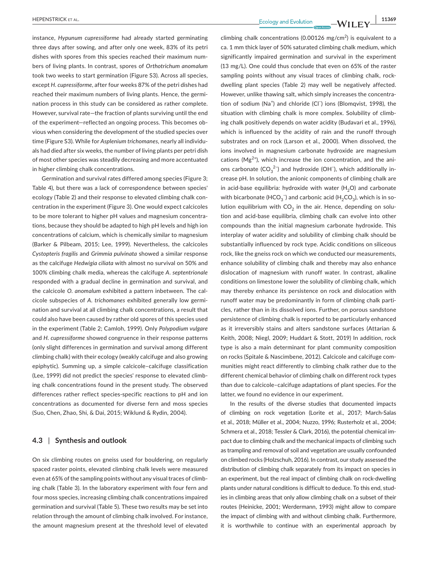instance, *Hypunum cupressiforme* had already started germinating three days after sowing, and after only one week, 83% of its petri dishes with spores from this species reached their maximum numbers of living plants. In contrast, spores of *Orthotrichum anomalum* took two weeks to start germination (Figure S3). Across all species, except *H. cupressiforme*, after four weeks 87% of the petri dishes had reached their maximum numbers of living plants. Hence, the germination process in this study can be considered as rather complete. However, survival rate—the fraction of plants surviving until the end of the experiment—reflected an ongoing process. This becomes obvious when considering the development of the studied species over time (Figure S3). While for *Asplenium trichomanes,* nearly all individuals had died after six weeks, the number of living plants per petri dish of most other species was steadily decreasing and more accentuated in higher climbing chalk concentrations.

Germination and survival rates differed among species (Figure 3; Table 4), but there was a lack of correspondence between species' ecology (Table 2) and their response to elevated climbing chalk concentration in the experiment (Figure 3). One would expect calcicoles to be more tolerant to higher pH values and magnesium concentrations, because they should be adapted to high pH levels and high ion concentrations of calcium, which is chemically similar to magnesium (Barker & Pilbeam, 2015; Lee, 1999). Nevertheless, the calcicoles *Cystopteris fragilis* and *Grimmia pulvinata* showed a similar response as the calcifuge *Hedwigia ciliata* with almost no survival on 50% and 100% climbing chalk media, whereas the calcifuge *A. septentrionale* responded with a gradual decline in germination and survival, and the calcicole *O. anomalum* exhibited a pattern inbetween. The calcicole subspecies of *A. trichomanes* exhibited generally low germination and survival at all climbing chalk concentrations, a result that could also have been caused by rather old spores of this species used in the experiment (Table 2; Camloh, 1999). Only *Polypodium vulgare* and *H. cupressiforme* showed congruence in their response patterns (only slight differences in germination and survival among different climbing chalk) with their ecology (weakly calcifuge and also growing epiphytic). Summing up, a simple calcicole–calcifuge classification (Lee, 1999) did not predict the species' response to elevated climbing chalk concentrations found in the present study. The observed differences rather reflect species-specific reactions to pH and ion concentrations as documented for diverse fern and moss species (Suo, Chen, Zhao, Shi, & Dai, 2015; Wiklund & Rydin, 2004).

# **4.3** | **Synthesis and outlook**

On six climbing routes on gneiss used for bouldering, on regularly spaced raster points, elevated climbing chalk levels were measured even at 65% of the sampling points without any visual traces of climbing chalk (Table 3). In the laboratory experiment with four fern and four moss species, increasing climbing chalk concentrations impaired germination and survival (Table 5). These two results may be set into relation through the amount of climbing chalk involved. For instance, the amount magnesium present at the threshold level of elevated

climbing chalk concentrations (0.00126 mg/cm<sup>2</sup>) is equivalent to a ca. 1 mm thick layer of 50% saturated climbing chalk medium, which significantly impaired germination and survival in the experiment (13 mg/L). One could thus conclude that even on 65% of the raster sampling points without any visual traces of climbing chalk, rockdwelling plant species (Table 2) may well be negatively affected. However, unlike thawing salt, which simply increases the concentration of sodium (Na<sup>+</sup>) and chloride (Cl<sup>−</sup>) ions (Blomqvist, 1998), the situation with climbing chalk is more complex. Solubility of climbing chalk positively depends on water acidity (Budavari et al., 1996), which is influenced by the acidity of rain and the runoff through substrates and on rock (Larson et al., 2000). When dissolved, the ions involved in magnesium carbonate hydroxide are magnesium cations ( $Mg^{2+}$ ), which increase the ion concentration, and the anions carbonate  $(CO_3^2$ <sup>2</sup>) and hydroxide (OH<sup>-</sup>), which additionally increase pH. In solution, the anionic components of climbing chalk are in acid-base equilibria: hydroxide with water  $(H<sub>2</sub>O)$  and carbonate with bicarbonate (HCO<sub>3</sub><sup>-</sup>) and carbonic acid (H<sub>2</sub>CO<sub>3</sub>), which is in solution equilibrium with  $CO<sub>2</sub>$  in the air. Hence, depending on solution and acid-base equilibria, climbing chalk can evolve into other compounds than the initial magnesium carbonate hydroxide. This interplay of water acidity and solubility of climbing chalk should be substantially influenced by rock type. Acidic conditions on siliceous rock, like the gneiss rock on which we conducted our measurements, enhance solubility of climbing chalk and thereby may also enhance dislocation of magnesium with runoff water. In contrast, alkaline conditions on limestone lower the solubility of climbing chalk, which may thereby enhance its persistence on rock and dislocation with runoff water may be predominantly in form of climbing chalk particles, rather than in its dissolved ions. Further, on porous sandstone persistence of climbing chalk is reported to be particularly enhanced as it irreversibly stains and alters sandstone surfaces (Attarian & Keith, 2008; Niegl, 2009; Huddart & Stott, 2019) In addition, rock type is also a main determinant for plant community composition on rocks (Spitale & Nascimbene, 2012). Calcicole and calcifuge communities might react differently to climbing chalk rather due to the different chemical behavior of climbing chalk on different rock types than due to calcicole–calcifuge adaptations of plant species. For the latter, we found no evidence in our experiment.

In the results of the diverse studies that documented impacts of climbing on rock vegetation (Lorite et al., 2017; March-Salas et al., 2018; Müller et al., 2004; Nuzzo, 1996; Rusterholz et al., 2004; Schmera et al., 2018; Tessler & Clark, 2016), the potential chemical impact due to climbing chalk and the mechanical impacts of climbing such as trampling and removal of soil and vegetation are usually confounded on climbed rocks (Holzschuh, 2016). In contrast, our study assessed the distribution of climbing chalk separately from its impact on species in an experiment, but the real impact of climbing chalk on rock-dwelling plants under natural conditions is difficult to deduce. To this end, studies in climbing areas that only allow climbing chalk on a subset of their routes (Heinicke, 2001; Werdermann, 1993) might allow to compare the impact of climbing with and without climbing chalk. Furthermore, it is worthwhile to continue with an experimental approach by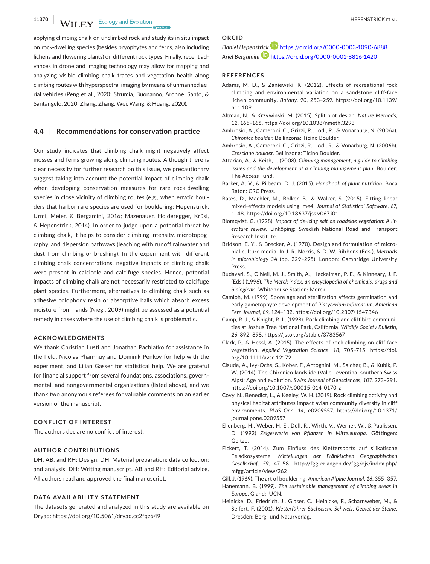**11370 M/II EV** Ecology and Evolution **11370** HEPENSTRICK ET AL.

applying climbing chalk on unclimbed rock and study its in situ impact on rock-dwelling species (besides bryophytes and ferns, also including lichens and flowering plants) on different rock types. Finally, recent advances in drone and imaging technology may allow for mapping and analyzing visible climbing chalk traces and vegetation health along climbing routes with hyperspectral imaging by means of unmanned aerial vehicles (Peng et al., 2020; Strumia, Buonanno, Aronne, Santo, & Santangelo, 2020; Zhang, Zhang, Wei, Wang, & Huang, 2020).

#### **4.4** | **Recommendations for conservation practice**

Our study indicates that climbing chalk might negatively affect mosses and ferns growing along climbing routes. Although there is clear necessity for further research on this issue, we precautionary suggest taking into account the potential impact of climbing chalk when developing conservation measures for rare rock-dwelling species in close vicinity of climbing routes (e.g., when erratic boulders that harbor rare species are used for bouldering; Hepenstrick, Urmi, Meier, & Bergamini, 2016; Mazenauer, Holderegger, Krüsi, & Hepenstrick, 2014). In order to judge upon a potential threat by climbing chalk, it helps to consider climbing intensity, microtopography, and dispersion pathways (leaching with runoff rainwater and dust from climbing or brushing). In the experiment with different climbing chalk concentrations, negative impacts of climbing chalk were present in calcicole and calcifuge species. Hence, potential impacts of climbing chalk are not necessarily restricted to calcifuge plant species. Furthermore, alternatives to climbing chalk such as adhesive colophony resin or absorptive balls which absorb excess moisture from hands (Niegl, 2009) might be assessed as a potential remedy in cases where the use of climbing chalk is problematic.

#### **ACKNOWLEDGMENTS**

We thank Christian Lusti and Jonathan Pachlatko for assistance in the field, Nicolas Phan-huy and Dominik Penkov for help with the experiment, and Lilian Gasser for statistical help. We are grateful for financial support from several foundations, associations, governmental, and nongovernmental organizations (listed above), and we thank two anonymous referees for valuable comments on an earlier version of the manuscript.

#### **CONFLICT OF INTEREST**

The authors declare no conflict of interest.

#### **AUTHOR CONTRIBUTIONS**

DH, AB, and RH: Design. DH: Material preparation; data collection; and analysis. DH: Writing manuscript. AB and RH: Editorial advice. All authors read and approved the final manuscript.

#### **DATA AVAILABILITY STATEMENT**

The datasets generated and analyzed in this study are available on Dryad: <https://doi.org/10.5061/dryad.cc2fqz649>

# **ORCID**

*Daniel Hepenst[rick](https://orcid.org/0000-0001-8816-1420)* <https://orcid.org/0000-0003-1090-6888> *Ariel Bergamini* <https://orcid.org/0000-0001-8816-1420>

#### **REFERENCES**

- Adams, M. D., & Zaniewski, K. (2012). Effects of recreational rock climbing and environmental variation on a sandstone cliff-face lichen community. *Botany*, *90*, 253–259. [https://doi.org/10.1139/](https://doi.org/10.1139/b11-109) [b11-109](https://doi.org/10.1139/b11-109)
- Altman, N., & Krzywinski, M. (2015). Split plot design. *Nature Methods*, *12*, 165–166.<https://doi.org/10.1038/nmeth.3293>
- Ambrosio, A., Cameroni, C., Grizzi, R., Lodi, R., & Vonarburg, N. (2006a). *Chironico boulder*. Bellinzona: Ticino Boulder.
- Ambrosio, A., Cameroni, C., Grizzi, R., Lodi, R., & Vonarburg, N. (2006b). *Cresciano boulder*. Bellinzona: Ticino Boulder.
- Attarian, A., & Keith, J. (2008). *Climbing management, a guide to climbing issues and the development of a climbing management plan*. Boulder: The Access Fund.
- Barker, A. V., & Pilbeam, D. J. (2015). *Handbook of plant nutrition*. Boca Raton: CRC Press.
- Bates, D., Mächler, M., Bolker, B., & Walker, S. (2015). Fitting linear mixed-effects models using lme4. *Journal of Statistical Software*, *67*, 1–48. <https://doi.org/10.18637/jss.v067.i01>
- Blomqvist, G. (1998). *Impact of de-icing salt on roadside vegetation: A literature review*. Linköping: Swedish National Road and Transport Research Institute.
- Bridson, E. Y., & Brecker, A. (1970). Design and formulation of microbial culture media. In J. R. Norris, & D. W. Ribbons (Eds.), *Methods in microbiology 3A* (pp. 229–295). London: Cambridge University Press.
- Budavari, S., O'Neil, M. J., Smith, A., Heckelman, P. E., & Kinneary, J. F. (Eds.) (1996). *The Merck index, an encyclopedia of chemicals, drugs and biologicals*. Whitehouse Station: Merck.
- Camloh, M. (1999). Spore age and sterilization affects germination and early gametophyte development of *Platycerium bifurcatum*. *American Fern Journal*, *89*, 124–132.<https://doi.org/10.2307/1547346>
- Camp, R. J., & Knight, R. L. (1998). Rock climbing and cliff bird communities at Joshua Tree National Park, California. *Wildlife Society Bulletin*, *26*, 892–898. <https://jstor.org/stable/3783567>
- Clark, P., & Hessl, A. (2015). The effects of rock climbing on cliff-face vegetation. *Applied Vegetation Science*, *18*, 705–715. [https://doi.](https://doi.org/10.1111/avsc.12172) [org/10.1111/avsc.12172](https://doi.org/10.1111/avsc.12172)
- Claude, A., Ivy-Ochs, S., Kober, F., Antognini, M., Salcher, B., & Kubik, P. W. (2014). The Chironico landslide (Valle Leventina, southern Swiss Alps): Age and evolution. *Swiss Journal of Geosciences*, *107*, 273–291. <https://doi.org/10.1007/s00015-014-0170-z>
- Covy, N., Benedict, L., & Keeley, W. H. (2019). Rock climbing activity and physical habitat attributes impact avian community diversity in cliff environments. *PLoS One*, *14*, e0209557. [https://doi.org/10.1371/](https://doi.org/10.1371/journal.pone.0209557) [journal.pone.0209557](https://doi.org/10.1371/journal.pone.0209557)
- Ellenberg, H., Weber, H. E., Düll, R., Wirth, V., Werner, W., & Paulissen, D. (1992) *Zeigerwerte von Pflanzen in Mitteleuropa*. Göttingen: Goltze.
- Fickert, T. (2014). Zum Einfluss des Klettersports auf silikatische Felsökosysteme. *Mitteilungen der Fränkischen Geographischen Gesellschaf*, *59*, 47–58. [http://fgg-erlangen.de/fgg/ojs/index.php/](http://fgg-erlangen.de/fgg/ojs/index.php/mfgg/article/view/262) [mfgg/article/view/262](http://fgg-erlangen.de/fgg/ojs/index.php/mfgg/article/view/262)
- Gill, J. (1969). The art of bouldering. *American Alpine Journal*, *16*, 355–357.
- Hanemann, B. (1999). *The sustainable management of climbing areas in Europe*. Gland: IUCN.
- Heinicke, D., Friedrich, J., Glaser, C., Heinicke, F., Scharnweber, M., & Seifert, F. (2001). *Kletterführer Sächsische Schweiz, Gebiet der Steine*. Dresden: Berg- und Naturverlag.